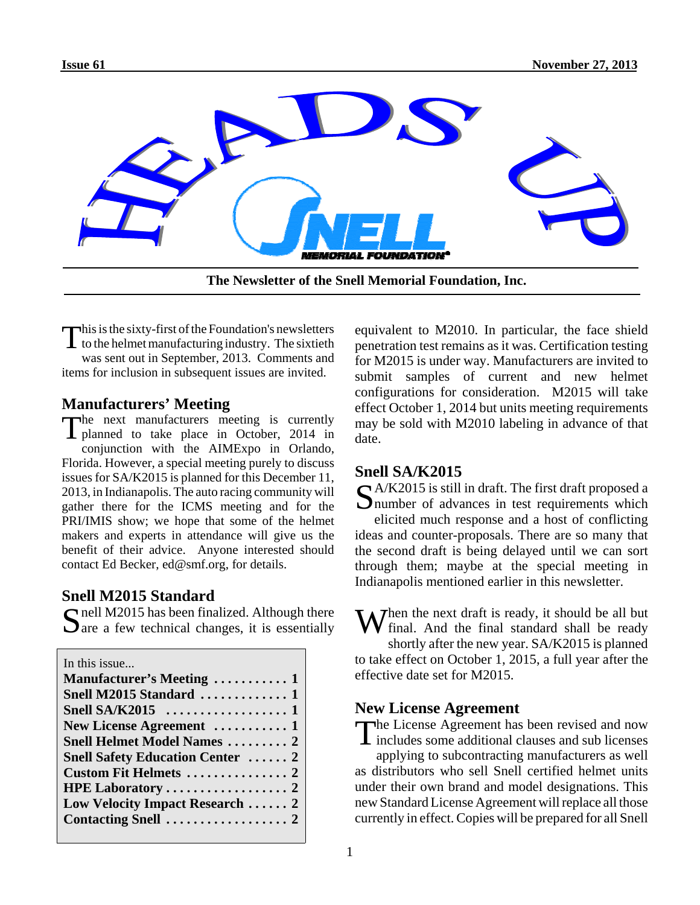

**The Newsletter of the Snell Memorial Foundation, Inc.**

This is the sixty-first of the Foundation's newsletters<br>to the helmet manufacturing industry. The sixtieth was sent out in September, 2013. Comments and items for inclusion in subsequent issues are invited.

### **Manufacturers' Meeting**

The next manufacturers meeting is currently **I** planned to take place in October, 2014 in conjunction with the AIMExpo in Orlando, Florida. However, a special meeting purely to discuss issues for SA/K2015 is planned for this December 11, 2013, in Indianapolis. The auto racing community will gather there for the ICMS meeting and for the PRI/IMIS show; we hope that some of the helmet makers and experts in attendance will give us the benefit of their advice. Anyone interested should contact Ed Becker, ed@smf.org, for details.

### **Snell M2015 Standard**

 $\Omega$  nell M2015 has been finalized. Although there  $\Box$  are a few technical changes, it is essentially

| In this issue                           |
|-----------------------------------------|
| Manufacturer's Meeting  1               |
| Snell M2015 Standard  1                 |
|                                         |
| New License Agreement  1                |
| <b>Snell Helmet Model Names  2</b>      |
| <b>Snell Safety Education Center  2</b> |
|                                         |
|                                         |
| Low Velocity Impact Research  2         |
|                                         |
|                                         |

equivalent to M2010. In particular, the face shield penetration test remains as it was. Certification testing for M2015 is under way. Manufacturers are invited to submit samples of current and new helmet configurations for consideration. M2015 will take effect October 1, 2014 but units meeting requirements may be sold with M2010 labeling in advance of that date.

### **Snell SA/K2015**

 $\bigcap$  A/K2015 is still in draft. The first draft proposed a **I** number of advances in test requirements which elicited much response and a host of conflicting ideas and counter-proposals. There are so many that the second draft is being delayed until we can sort through them; maybe at the special meeting in Indianapolis mentioned earlier in this newsletter.

 $\sum$  then the next draft is ready, it should be all but final. And the final standard shall be ready shortly after the new year. SA/K2015 is planned to take effect on October 1, 2015, a full year after the effective date set for M2015.

## **New License Agreement**

The License Agreement has been revised and now  $\blacksquare$  includes some additional clauses and sub licenses applying to subcontracting manufacturers as well as distributors who sell Snell certified helmet units under their own brand and model designations. This new Standard License Agreement will replace all those currently in effect. Copies will be prepared for all Snell